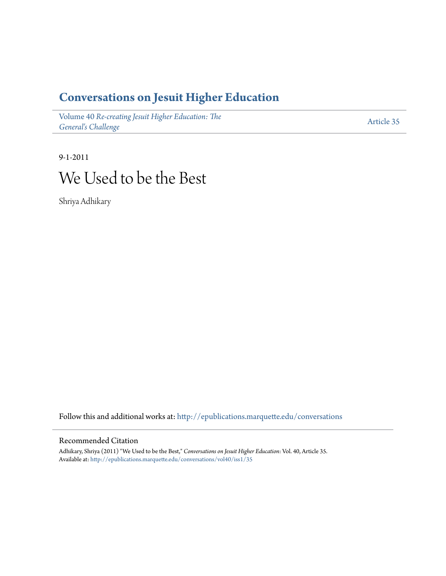### **[Conversations on Jesuit Higher Education](http://epublications.marquette.edu/conversations?utm_source=epublications.marquette.edu%2Fconversations%2Fvol40%2Fiss1%2F35&utm_medium=PDF&utm_campaign=PDFCoverPages)**

Volume 40 *[Re-creating Jesuit Higher Education: The](http://epublications.marquette.edu/conversations/vol40?utm_source=epublications.marquette.edu%2Fconversations%2Fvol40%2Fiss1%2F35&utm_medium=PDF&utm_campaign=PDFCoverPages) [General's Challenge](http://epublications.marquette.edu/conversations/vol40?utm_source=epublications.marquette.edu%2Fconversations%2Fvol40%2Fiss1%2F35&utm_medium=PDF&utm_campaign=PDFCoverPages)*

[Article 35](http://epublications.marquette.edu/conversations/vol40/iss1/35?utm_source=epublications.marquette.edu%2Fconversations%2Fvol40%2Fiss1%2F35&utm_medium=PDF&utm_campaign=PDFCoverPages)

## 9-1-2011 We Used to be the Best

Shriya Adhikary

Follow this and additional works at: [http://epublications.marquette.edu/conversations](http://epublications.marquette.edu/conversations?utm_source=epublications.marquette.edu%2Fconversations%2Fvol40%2Fiss1%2F35&utm_medium=PDF&utm_campaign=PDFCoverPages)

#### Recommended Citation

Adhikary, Shriya (2011) "We Used to be the Best," *Conversations on Jesuit Higher Education*: Vol. 40, Article 35. Available at: [http://epublications.marquette.edu/conversations/vol40/iss1/35](http://epublications.marquette.edu/conversations/vol40/iss1/35?utm_source=epublications.marquette.edu%2Fconversations%2Fvol40%2Fiss1%2F35&utm_medium=PDF&utm_campaign=PDFCoverPages)